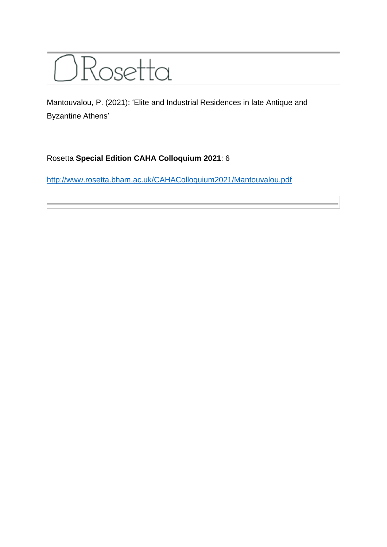

Mantouvalou, P. (2021): 'Elite and Industrial Residences in late Antique and Byzantine Athens'

## Rosetta **Special Edition CAHA Colloquium 2021**: 6

<http://www.rosetta.bham.ac.uk/CAHAColloquium2021/Mantouvalou.pdf>